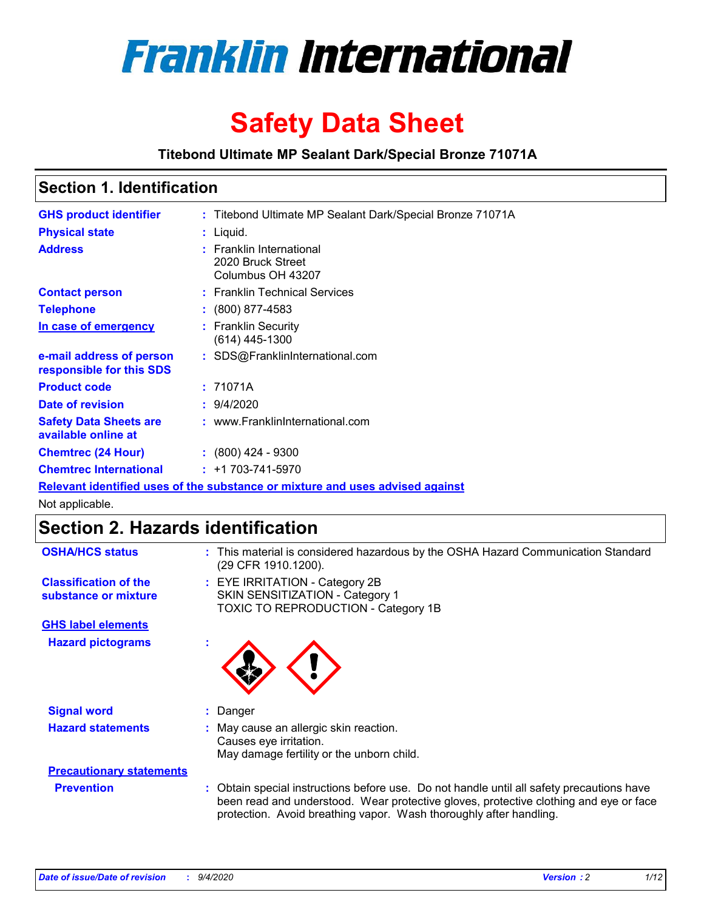

# **Safety Data Sheet**

**Titebond Ultimate MP Sealant Dark/Special Bronze 71071A**

### **Section 1. Identification**

| <b>GHS product identifier</b>                                                 |  | : Titebond Ultimate MP Sealant Dark/Special Bronze 71071A          |  |  |
|-------------------------------------------------------------------------------|--|--------------------------------------------------------------------|--|--|
| <b>Physical state</b>                                                         |  | : Liquid.                                                          |  |  |
| <b>Address</b>                                                                |  | : Franklin International<br>2020 Bruck Street<br>Columbus OH 43207 |  |  |
| <b>Contact person</b>                                                         |  | : Franklin Technical Services                                      |  |  |
| <b>Telephone</b>                                                              |  | $: (800) 877-4583$                                                 |  |  |
| In case of emergency                                                          |  | : Franklin Security<br>$(614)$ 445-1300                            |  |  |
| e-mail address of person<br>responsible for this SDS                          |  | : SDS@FranklinInternational.com                                    |  |  |
| <b>Product code</b>                                                           |  | : 71071A                                                           |  |  |
| Date of revision                                                              |  | 9/4/2020                                                           |  |  |
| <b>Safety Data Sheets are</b><br>available online at                          |  | : www.FranklinInternational.com                                    |  |  |
| <b>Chemtrec (24 Hour)</b>                                                     |  | $\div$ (800) 424 - 9300                                            |  |  |
| <b>Chemtrec International</b>                                                 |  | $: +1703 - 741 - 5970$                                             |  |  |
| Relevant identified uses of the substance or mixture and uses advised against |  |                                                                    |  |  |

Not applicable.

### **Section 2. Hazards identification**

| <b>OSHA/HCS status</b>                               |    | : This material is considered hazardous by the OSHA Hazard Communication Standard<br>(29 CFR 1910.1200).                                                                                                                                                 |
|------------------------------------------------------|----|----------------------------------------------------------------------------------------------------------------------------------------------------------------------------------------------------------------------------------------------------------|
| <b>Classification of the</b><br>substance or mixture |    | : EYE IRRITATION - Category 2B<br>SKIN SENSITIZATION - Category 1<br>TOXIC TO REPRODUCTION - Category 1B                                                                                                                                                 |
| <b>GHS label elements</b>                            |    |                                                                                                                                                                                                                                                          |
| <b>Hazard pictograms</b>                             | ×. |                                                                                                                                                                                                                                                          |
| <b>Signal word</b>                                   | ÷. | Danger                                                                                                                                                                                                                                                   |
| <b>Hazard statements</b>                             |    | May cause an allergic skin reaction.<br>Causes eye irritation.<br>May damage fertility or the unborn child.                                                                                                                                              |
| <b>Precautionary statements</b>                      |    |                                                                                                                                                                                                                                                          |
| <b>Prevention</b>                                    |    | : Obtain special instructions before use. Do not handle until all safety precautions have<br>been read and understood. Wear protective gloves, protective clothing and eye or face<br>protection. Avoid breathing vapor. Wash thoroughly after handling. |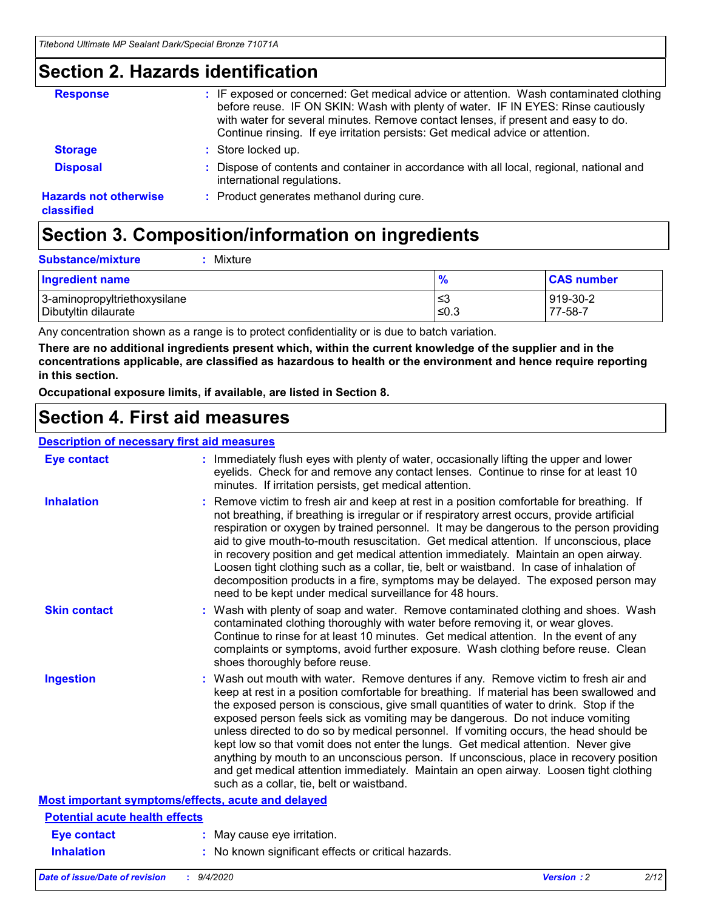### **Section 2. Hazards identification**

| <b>Response</b>                            | : IF exposed or concerned: Get medical advice or attention. Wash contaminated clothing<br>before reuse. IF ON SKIN: Wash with plenty of water. IF IN EYES: Rinse cautiously<br>with water for several minutes. Remove contact lenses, if present and easy to do.<br>Continue rinsing. If eye irritation persists: Get medical advice or attention. |
|--------------------------------------------|----------------------------------------------------------------------------------------------------------------------------------------------------------------------------------------------------------------------------------------------------------------------------------------------------------------------------------------------------|
| <b>Storage</b>                             | : Store locked up.                                                                                                                                                                                                                                                                                                                                 |
| <b>Disposal</b>                            | : Dispose of contents and container in accordance with all local, regional, national and<br>international regulations.                                                                                                                                                                                                                             |
| <b>Hazards not otherwise</b><br>classified | : Product generates methanol during cure.                                                                                                                                                                                                                                                                                                          |

## **Section 3. Composition/information on ingredients**

| <b>Substance/mixture</b> | Mixture |
|--------------------------|---------|
|                          |         |

| <b>Ingredient name</b>       | $\frac{9}{6}$ | <b>CAS number</b> |
|------------------------------|---------------|-------------------|
| 3-aminopropyltriethoxysilane | ՝≤3           | 919-30-2          |
| Dibutyltin dilaurate         | ∣≤0.3         | 77-58-7           |

Any concentration shown as a range is to protect confidentiality or is due to batch variation.

**There are no additional ingredients present which, within the current knowledge of the supplier and in the concentrations applicable, are classified as hazardous to health or the environment and hence require reporting in this section.**

**Occupational exposure limits, if available, are listed in Section 8.**

### **Section 4. First aid measures**

| <b>Description of necessary first aid measures</b> |                                                                                                                                                                                                                                                                                                                                                                                                                                                                                                                                                                                                                                                                                                                                                                           |
|----------------------------------------------------|---------------------------------------------------------------------------------------------------------------------------------------------------------------------------------------------------------------------------------------------------------------------------------------------------------------------------------------------------------------------------------------------------------------------------------------------------------------------------------------------------------------------------------------------------------------------------------------------------------------------------------------------------------------------------------------------------------------------------------------------------------------------------|
| <b>Eye contact</b>                                 | : Immediately flush eyes with plenty of water, occasionally lifting the upper and lower<br>eyelids. Check for and remove any contact lenses. Continue to rinse for at least 10<br>minutes. If irritation persists, get medical attention.                                                                                                                                                                                                                                                                                                                                                                                                                                                                                                                                 |
| <b>Inhalation</b>                                  | : Remove victim to fresh air and keep at rest in a position comfortable for breathing. If<br>not breathing, if breathing is irregular or if respiratory arrest occurs, provide artificial<br>respiration or oxygen by trained personnel. It may be dangerous to the person providing<br>aid to give mouth-to-mouth resuscitation. Get medical attention. If unconscious, place<br>in recovery position and get medical attention immediately. Maintain an open airway.<br>Loosen tight clothing such as a collar, tie, belt or waistband. In case of inhalation of<br>decomposition products in a fire, symptoms may be delayed. The exposed person may<br>need to be kept under medical surveillance for 48 hours.                                                       |
| <b>Skin contact</b>                                | : Wash with plenty of soap and water. Remove contaminated clothing and shoes. Wash<br>contaminated clothing thoroughly with water before removing it, or wear gloves.<br>Continue to rinse for at least 10 minutes. Get medical attention. In the event of any<br>complaints or symptoms, avoid further exposure. Wash clothing before reuse. Clean<br>shoes thoroughly before reuse.                                                                                                                                                                                                                                                                                                                                                                                     |
| <b>Ingestion</b>                                   | : Wash out mouth with water. Remove dentures if any. Remove victim to fresh air and<br>keep at rest in a position comfortable for breathing. If material has been swallowed and<br>the exposed person is conscious, give small quantities of water to drink. Stop if the<br>exposed person feels sick as vomiting may be dangerous. Do not induce vomiting<br>unless directed to do so by medical personnel. If vomiting occurs, the head should be<br>kept low so that vomit does not enter the lungs. Get medical attention. Never give<br>anything by mouth to an unconscious person. If unconscious, place in recovery position<br>and get medical attention immediately. Maintain an open airway. Loosen tight clothing<br>such as a collar, tie, belt or waistband. |
| Most important symptoms/effects, acute and delayed |                                                                                                                                                                                                                                                                                                                                                                                                                                                                                                                                                                                                                                                                                                                                                                           |
| <b>Potential acute health effects</b>              |                                                                                                                                                                                                                                                                                                                                                                                                                                                                                                                                                                                                                                                                                                                                                                           |
| <b>Eye contact</b>                                 | : May cause eye irritation.                                                                                                                                                                                                                                                                                                                                                                                                                                                                                                                                                                                                                                                                                                                                               |
| <b>Inhalation</b>                                  | : No known significant effects or critical hazards.                                                                                                                                                                                                                                                                                                                                                                                                                                                                                                                                                                                                                                                                                                                       |
|                                                    |                                                                                                                                                                                                                                                                                                                                                                                                                                                                                                                                                                                                                                                                                                                                                                           |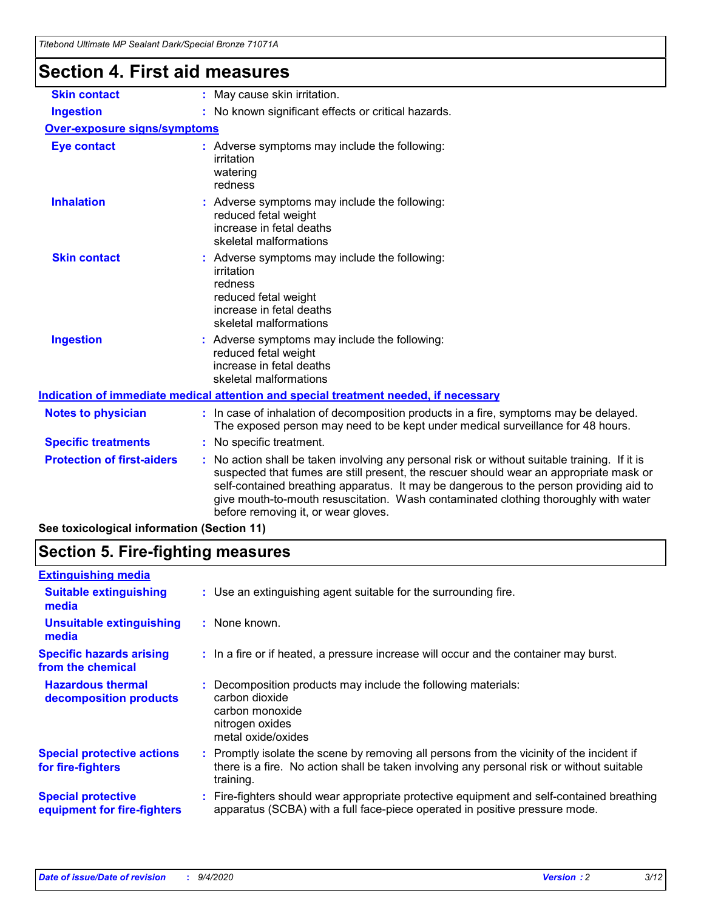| <b>Section 4. First aid measures</b><br>: May cause skin irritation.<br>: No known significant effects or critical hazards.                                                                                                                                                                                                                                                                                   |
|---------------------------------------------------------------------------------------------------------------------------------------------------------------------------------------------------------------------------------------------------------------------------------------------------------------------------------------------------------------------------------------------------------------|
|                                                                                                                                                                                                                                                                                                                                                                                                               |
|                                                                                                                                                                                                                                                                                                                                                                                                               |
|                                                                                                                                                                                                                                                                                                                                                                                                               |
| <b>Over-exposure signs/symptoms</b>                                                                                                                                                                                                                                                                                                                                                                           |
| : Adverse symptoms may include the following:<br>irritation<br>watering<br>redness                                                                                                                                                                                                                                                                                                                            |
| : Adverse symptoms may include the following:<br>reduced fetal weight<br>increase in fetal deaths<br>skeletal malformations                                                                                                                                                                                                                                                                                   |
| : Adverse symptoms may include the following:<br>irritation<br>redness<br>reduced fetal weight<br>increase in fetal deaths<br>skeletal malformations                                                                                                                                                                                                                                                          |
| : Adverse symptoms may include the following:<br>reduced fetal weight<br>increase in fetal deaths<br>skeletal malformations                                                                                                                                                                                                                                                                                   |
| Indication of immediate medical attention and special treatment needed, if necessary                                                                                                                                                                                                                                                                                                                          |
| : In case of inhalation of decomposition products in a fire, symptoms may be delayed.<br>The exposed person may need to be kept under medical surveillance for 48 hours.                                                                                                                                                                                                                                      |
| : No specific treatment.                                                                                                                                                                                                                                                                                                                                                                                      |
| No action shall be taken involving any personal risk or without suitable training. If it is<br>suspected that fumes are still present, the rescuer should wear an appropriate mask or<br>self-contained breathing apparatus. It may be dangerous to the person providing aid to<br>give mouth-to-mouth resuscitation. Wash contaminated clothing thoroughly with water<br>before removing it, or wear gloves. |
|                                                                                                                                                                                                                                                                                                                                                                                                               |

**See toxicological information (Section 11)**

### **Section 5. Fire-fighting measures**

| <b>Extinguishing media</b>                               |                                                                                                                                                                                                     |
|----------------------------------------------------------|-----------------------------------------------------------------------------------------------------------------------------------------------------------------------------------------------------|
| <b>Suitable extinguishing</b><br>media                   | : Use an extinguishing agent suitable for the surrounding fire.                                                                                                                                     |
| <b>Unsuitable extinguishing</b><br>media                 | : None known.                                                                                                                                                                                       |
| <b>Specific hazards arising</b><br>from the chemical     | : In a fire or if heated, a pressure increase will occur and the container may burst.                                                                                                               |
| <b>Hazardous thermal</b><br>decomposition products       | Decomposition products may include the following materials:<br>carbon dioxide<br>carbon monoxide<br>nitrogen oxides<br>metal oxide/oxides                                                           |
| <b>Special protective actions</b><br>for fire-fighters   | : Promptly isolate the scene by removing all persons from the vicinity of the incident if<br>there is a fire. No action shall be taken involving any personal risk or without suitable<br>training. |
| <b>Special protective</b><br>equipment for fire-fighters | : Fire-fighters should wear appropriate protective equipment and self-contained breathing<br>apparatus (SCBA) with a full face-piece operated in positive pressure mode.                            |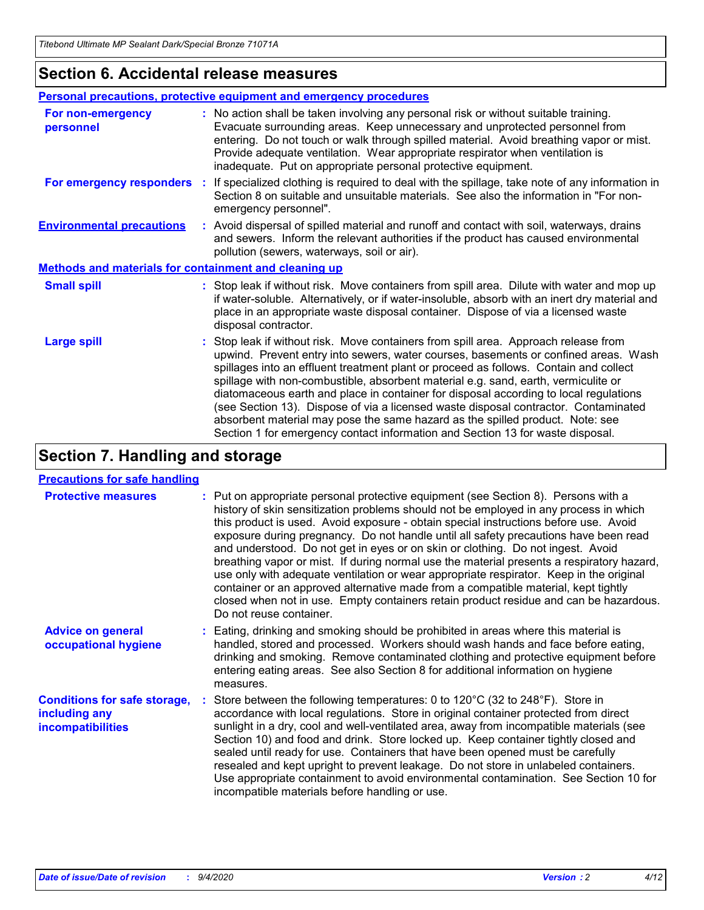### **Section 6. Accidental release measures**

|                                                              | <b>Personal precautions, protective equipment and emergency procedures</b>                                                                                                                                                                                                                                                                                                                                                                                                                                                                                                                                                                                                                                   |  |  |  |  |
|--------------------------------------------------------------|--------------------------------------------------------------------------------------------------------------------------------------------------------------------------------------------------------------------------------------------------------------------------------------------------------------------------------------------------------------------------------------------------------------------------------------------------------------------------------------------------------------------------------------------------------------------------------------------------------------------------------------------------------------------------------------------------------------|--|--|--|--|
| For non-emergency<br>personnel                               | : No action shall be taken involving any personal risk or without suitable training.<br>Evacuate surrounding areas. Keep unnecessary and unprotected personnel from<br>entering. Do not touch or walk through spilled material. Avoid breathing vapor or mist.<br>Provide adequate ventilation. Wear appropriate respirator when ventilation is<br>inadequate. Put on appropriate personal protective equipment.                                                                                                                                                                                                                                                                                             |  |  |  |  |
| For emergency responders                                     | : If specialized clothing is required to deal with the spillage, take note of any information in<br>Section 8 on suitable and unsuitable materials. See also the information in "For non-<br>emergency personnel".                                                                                                                                                                                                                                                                                                                                                                                                                                                                                           |  |  |  |  |
| <b>Environmental precautions</b>                             | : Avoid dispersal of spilled material and runoff and contact with soil, waterways, drains<br>and sewers. Inform the relevant authorities if the product has caused environmental<br>pollution (sewers, waterways, soil or air).                                                                                                                                                                                                                                                                                                                                                                                                                                                                              |  |  |  |  |
| <b>Methods and materials for containment and cleaning up</b> |                                                                                                                                                                                                                                                                                                                                                                                                                                                                                                                                                                                                                                                                                                              |  |  |  |  |
| <b>Small spill</b>                                           | : Stop leak if without risk. Move containers from spill area. Dilute with water and mop up<br>if water-soluble. Alternatively, or if water-insoluble, absorb with an inert dry material and<br>place in an appropriate waste disposal container. Dispose of via a licensed waste<br>disposal contractor.                                                                                                                                                                                                                                                                                                                                                                                                     |  |  |  |  |
| <b>Large spill</b>                                           | : Stop leak if without risk. Move containers from spill area. Approach release from<br>upwind. Prevent entry into sewers, water courses, basements or confined areas. Wash<br>spillages into an effluent treatment plant or proceed as follows. Contain and collect<br>spillage with non-combustible, absorbent material e.g. sand, earth, vermiculite or<br>diatomaceous earth and place in container for disposal according to local regulations<br>(see Section 13). Dispose of via a licensed waste disposal contractor. Contaminated<br>absorbent material may pose the same hazard as the spilled product. Note: see<br>Section 1 for emergency contact information and Section 13 for waste disposal. |  |  |  |  |

### **Section 7. Handling and storage**

#### **Precautions for safe handling**

| <b>Protective measures</b>                                                       | : Put on appropriate personal protective equipment (see Section 8). Persons with a<br>history of skin sensitization problems should not be employed in any process in which<br>this product is used. Avoid exposure - obtain special instructions before use. Avoid<br>exposure during pregnancy. Do not handle until all safety precautions have been read<br>and understood. Do not get in eyes or on skin or clothing. Do not ingest. Avoid<br>breathing vapor or mist. If during normal use the material presents a respiratory hazard,<br>use only with adequate ventilation or wear appropriate respirator. Keep in the original<br>container or an approved alternative made from a compatible material, kept tightly<br>closed when not in use. Empty containers retain product residue and can be hazardous.<br>Do not reuse container. |
|----------------------------------------------------------------------------------|--------------------------------------------------------------------------------------------------------------------------------------------------------------------------------------------------------------------------------------------------------------------------------------------------------------------------------------------------------------------------------------------------------------------------------------------------------------------------------------------------------------------------------------------------------------------------------------------------------------------------------------------------------------------------------------------------------------------------------------------------------------------------------------------------------------------------------------------------|
| <b>Advice on general</b><br>occupational hygiene                                 | : Eating, drinking and smoking should be prohibited in areas where this material is<br>handled, stored and processed. Workers should wash hands and face before eating,<br>drinking and smoking. Remove contaminated clothing and protective equipment before<br>entering eating areas. See also Section 8 for additional information on hygiene<br>measures.                                                                                                                                                                                                                                                                                                                                                                                                                                                                                    |
| <b>Conditions for safe storage,</b><br>including any<br><i>incompatibilities</i> | Store between the following temperatures: 0 to 120°C (32 to 248°F). Store in<br>accordance with local regulations. Store in original container protected from direct<br>sunlight in a dry, cool and well-ventilated area, away from incompatible materials (see<br>Section 10) and food and drink. Store locked up. Keep container tightly closed and<br>sealed until ready for use. Containers that have been opened must be carefully<br>resealed and kept upright to prevent leakage. Do not store in unlabeled containers.<br>Use appropriate containment to avoid environmental contamination. See Section 10 for<br>incompatible materials before handling or use.                                                                                                                                                                         |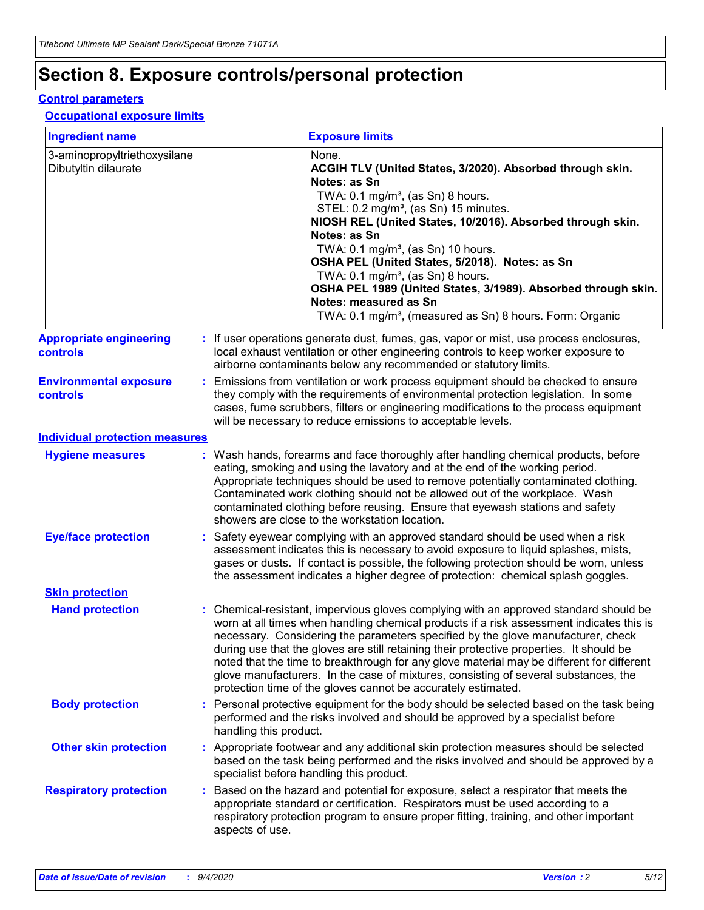## **Section 8. Exposure controls/personal protection**

#### **Control parameters**

#### **Occupational exposure limits**

| <b>Ingredient name</b>                               |    |                        | <b>Exposure limits</b>                                                                                                                                                                                                                                                                                                                                                                                                                                                                                                                                                                                                 |
|------------------------------------------------------|----|------------------------|------------------------------------------------------------------------------------------------------------------------------------------------------------------------------------------------------------------------------------------------------------------------------------------------------------------------------------------------------------------------------------------------------------------------------------------------------------------------------------------------------------------------------------------------------------------------------------------------------------------------|
| 3-aminopropyltriethoxysilane<br>Dibutyltin dilaurate |    |                        | None.<br>ACGIH TLV (United States, 3/2020). Absorbed through skin.<br>Notes: as Sn<br>TWA: $0.1 \text{ mg/m}^3$ , (as Sn) 8 hours.<br>STEL: 0.2 mg/m <sup>3</sup> , (as Sn) 15 minutes.<br>NIOSH REL (United States, 10/2016). Absorbed through skin.<br>Notes: as Sn<br>TWA: 0.1 mg/m <sup>3</sup> , (as Sn) 10 hours.<br>OSHA PEL (United States, 5/2018). Notes: as Sn<br>TWA: $0.1 \text{ mg/m}^3$ , (as Sn) 8 hours.<br>OSHA PEL 1989 (United States, 3/1989). Absorbed through skin.<br>Notes: measured as Sn<br>TWA: 0.1 mg/m <sup>3</sup> , (measured as Sn) 8 hours. Form: Organic                            |
| <b>Appropriate engineering</b><br>controls           |    |                        | : If user operations generate dust, fumes, gas, vapor or mist, use process enclosures,<br>local exhaust ventilation or other engineering controls to keep worker exposure to<br>airborne contaminants below any recommended or statutory limits.                                                                                                                                                                                                                                                                                                                                                                       |
| <b>Environmental exposure</b><br>controls            |    |                        | Emissions from ventilation or work process equipment should be checked to ensure<br>they comply with the requirements of environmental protection legislation. In some<br>cases, fume scrubbers, filters or engineering modifications to the process equipment<br>will be necessary to reduce emissions to acceptable levels.                                                                                                                                                                                                                                                                                          |
| <b>Individual protection measures</b>                |    |                        |                                                                                                                                                                                                                                                                                                                                                                                                                                                                                                                                                                                                                        |
| <b>Hygiene measures</b>                              |    |                        | : Wash hands, forearms and face thoroughly after handling chemical products, before<br>eating, smoking and using the lavatory and at the end of the working period.<br>Appropriate techniques should be used to remove potentially contaminated clothing.<br>Contaminated work clothing should not be allowed out of the workplace. Wash<br>contaminated clothing before reusing. Ensure that eyewash stations and safety<br>showers are close to the workstation location.                                                                                                                                            |
| <b>Eye/face protection</b>                           |    |                        | : Safety eyewear complying with an approved standard should be used when a risk<br>assessment indicates this is necessary to avoid exposure to liquid splashes, mists,<br>gases or dusts. If contact is possible, the following protection should be worn, unless<br>the assessment indicates a higher degree of protection: chemical splash goggles.                                                                                                                                                                                                                                                                  |
| <b>Skin protection</b>                               |    |                        |                                                                                                                                                                                                                                                                                                                                                                                                                                                                                                                                                                                                                        |
| <b>Hand protection</b>                               |    |                        | : Chemical-resistant, impervious gloves complying with an approved standard should be<br>worn at all times when handling chemical products if a risk assessment indicates this is<br>necessary. Considering the parameters specified by the glove manufacturer, check<br>during use that the gloves are still retaining their protective properties. It should be<br>noted that the time to breakthrough for any glove material may be different for different<br>glove manufacturers. In the case of mixtures, consisting of several substances, the<br>protection time of the gloves cannot be accurately estimated. |
| <b>Body protection</b>                               |    | handling this product. | Personal protective equipment for the body should be selected based on the task being<br>performed and the risks involved and should be approved by a specialist before                                                                                                                                                                                                                                                                                                                                                                                                                                                |
| <b>Other skin protection</b>                         |    |                        | : Appropriate footwear and any additional skin protection measures should be selected<br>based on the task being performed and the risks involved and should be approved by a<br>specialist before handling this product.                                                                                                                                                                                                                                                                                                                                                                                              |
| <b>Respiratory protection</b>                        | ÷. | aspects of use.        | Based on the hazard and potential for exposure, select a respirator that meets the<br>appropriate standard or certification. Respirators must be used according to a<br>respiratory protection program to ensure proper fitting, training, and other important                                                                                                                                                                                                                                                                                                                                                         |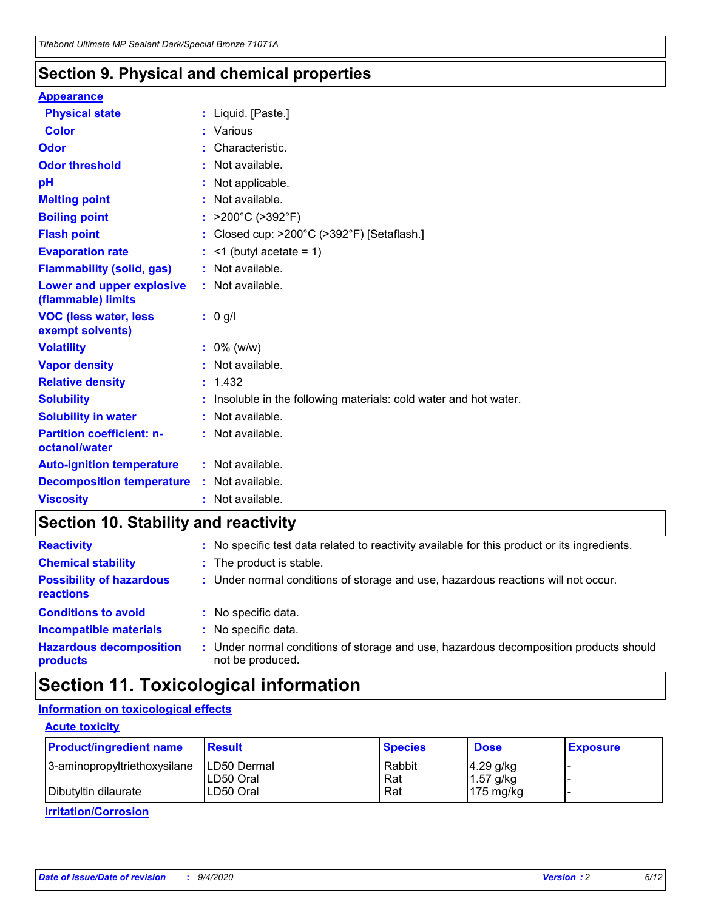### **Section 9. Physical and chemical properties**

#### **Appearance**

| <b>Physical state</b>                             |   | : Liquid. [Paste.]                                              |
|---------------------------------------------------|---|-----------------------------------------------------------------|
| Color                                             |   | Various                                                         |
| Odor                                              |   | Characteristic.                                                 |
| <b>Odor threshold</b>                             |   | Not available.                                                  |
| рH                                                |   | Not applicable.                                                 |
| <b>Melting point</b>                              |   | : Not available.                                                |
| <b>Boiling point</b>                              | t | >200°C (>392°F)                                                 |
| <b>Flash point</b>                                |   | Closed cup: >200°C (>392°F) [Setaflash.]                        |
| <b>Evaporation rate</b>                           |   | $\leq$ 1 (butyl acetate = 1)                                    |
| <b>Flammability (solid, gas)</b>                  |   | : Not available.                                                |
| Lower and upper explosive<br>(flammable) limits   |   | : Not available.                                                |
| <b>VOC (less water, less)</b><br>exempt solvents) |   | : 0 g/l                                                         |
| <b>Volatility</b>                                 |   | $: 0\%$ (w/w)                                                   |
| <b>Vapor density</b>                              |   | Not available.                                                  |
| <b>Relative density</b>                           |   | : 1.432                                                         |
| <b>Solubility</b>                                 |   | Insoluble in the following materials: cold water and hot water. |
| <b>Solubility in water</b>                        |   | Not available.                                                  |
| <b>Partition coefficient: n-</b><br>octanol/water |   | : Not available.                                                |
| <b>Auto-ignition temperature</b>                  |   | $:$ Not available.                                              |
| <b>Decomposition temperature</b>                  |   | : Not available.                                                |
| <b>Viscosity</b>                                  |   | : Not available.                                                |

### **Section 10. Stability and reactivity**

| <b>Reactivity</b>                            | : No specific test data related to reactivity available for this product or its ingredients.            |
|----------------------------------------------|---------------------------------------------------------------------------------------------------------|
| <b>Chemical stability</b>                    | : The product is stable.                                                                                |
| <b>Possibility of hazardous</b><br>reactions | : Under normal conditions of storage and use, hazardous reactions will not occur.                       |
| <b>Conditions to avoid</b>                   | : No specific data.                                                                                     |
| <b>Incompatible materials</b>                | : No specific data.                                                                                     |
| <b>Hazardous decomposition</b><br>products   | Under normal conditions of storage and use, hazardous decomposition products should<br>not be produced. |

### **Section 11. Toxicological information**

#### **Information on toxicological effects**

#### **Acute toxicity**

| <b>Product/ingredient name</b> | <b>Result</b>           | <b>Species</b> | <b>Dose</b>                | <b>Exposure</b> |
|--------------------------------|-------------------------|----------------|----------------------------|-----------------|
| 3-aminopropyltriethoxysilane   | <b>ILD50 Dermal</b>     | Rabbit         | 4.29 g/kg                  |                 |
| Dibutyltin dilaurate           | ILD50 Oral<br>LD50 Oral | Rat<br>Rat     | $1.57$ g/kg<br>175 $mg/kg$ |                 |
|                                |                         |                |                            |                 |

**Irritation/Corrosion**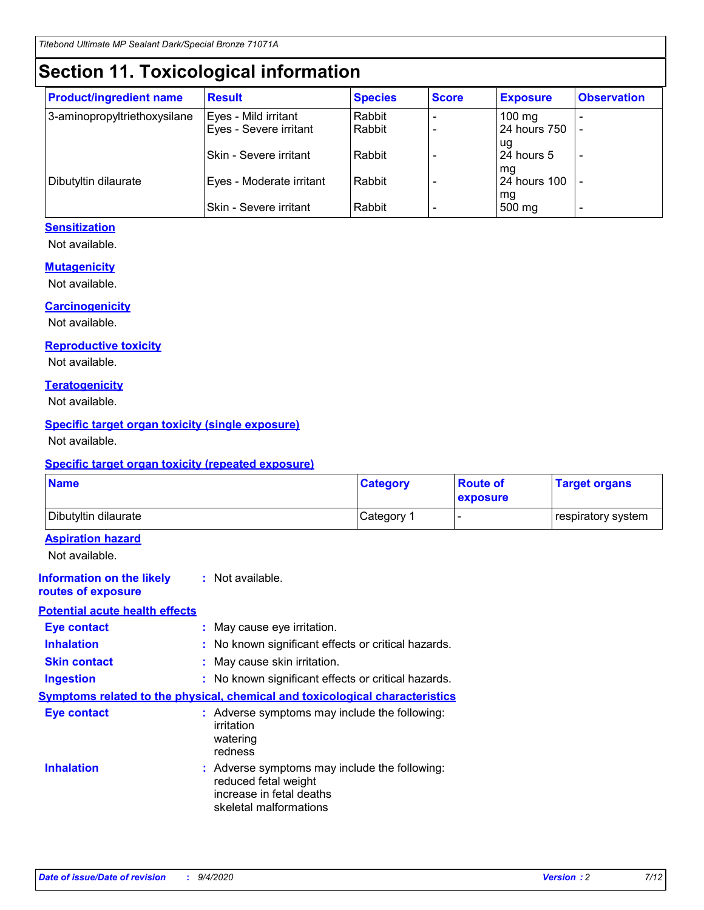## **Section 11. Toxicological information**

| <b>Product/ingredient name</b> | <b>Result</b>                 | <b>Species</b> | <b>Score</b> | <b>Exposure</b>    | <b>Observation</b>       |
|--------------------------------|-------------------------------|----------------|--------------|--------------------|--------------------------|
| 3-aminopropyltriethoxysilane   | Eyes - Mild irritant          | Rabbit         |              | $100 \text{ mg}$   |                          |
|                                | Eyes - Severe irritant        | Rabbit         |              | 24 hours 750       |                          |
|                                |                               |                |              | ug                 |                          |
|                                | <b>Skin - Severe irritant</b> | Rabbit         |              | 24 hours 5         | $\overline{\phantom{0}}$ |
| Dibutyltin dilaurate           | Eyes - Moderate irritant      | Rabbit         |              | mg<br>24 hours 100 |                          |
|                                |                               |                |              | mg                 |                          |
|                                | Skin - Severe irritant        | Rabbit         |              | 500 mg             | -                        |

#### **Sensitization**

Not available.

#### **Mutagenicity**

Not available.

#### **Carcinogenicity**

Not available.

#### **Reproductive toxicity**

Not available.

#### **Teratogenicity**

Not available.

#### **Specific target organ toxicity (single exposure)**

Not available.

#### **Specific target organ toxicity (repeated exposure)**

| <b>Name</b>                                                                         |                                                                            | <b>Category</b>                                     | <b>Route of</b><br>exposure | <b>Target organs</b> |  |
|-------------------------------------------------------------------------------------|----------------------------------------------------------------------------|-----------------------------------------------------|-----------------------------|----------------------|--|
| Dibutyltin dilaurate                                                                |                                                                            | Category 1                                          | -                           | respiratory system   |  |
| <b>Aspiration hazard</b><br>Not available.                                          |                                                                            |                                                     |                             |                      |  |
| <b>Information on the likely</b><br>routes of exposure                              | : Not available.                                                           |                                                     |                             |                      |  |
| <b>Potential acute health effects</b>                                               |                                                                            |                                                     |                             |                      |  |
| <b>Eye contact</b>                                                                  | : May cause eye irritation.                                                |                                                     |                             |                      |  |
| <b>Inhalation</b>                                                                   |                                                                            | : No known significant effects or critical hazards. |                             |                      |  |
| <b>Skin contact</b>                                                                 |                                                                            | : May cause skin irritation.                        |                             |                      |  |
| <b>Ingestion</b>                                                                    |                                                                            | : No known significant effects or critical hazards. |                             |                      |  |
| <b>Symptoms related to the physical, chemical and toxicological characteristics</b> |                                                                            |                                                     |                             |                      |  |
| <b>Eye contact</b>                                                                  | irritation<br>watering<br>redness                                          | : Adverse symptoms may include the following:       |                             |                      |  |
| <b>Inhalation</b>                                                                   | reduced fetal weight<br>increase in fetal deaths<br>skeletal malformations | : Adverse symptoms may include the following:       |                             |                      |  |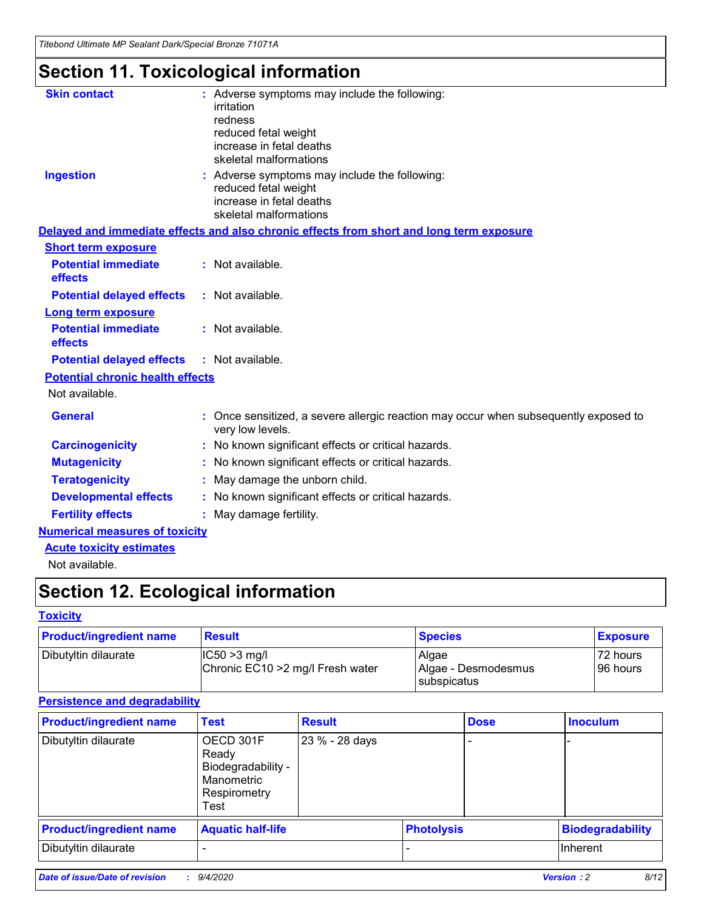*Titebond Ultimate MP Sealant Dark/Special Bronze 71071A*

## **Section 11. Toxicological information**

| <b>Skin contact</b>                     | : Adverse symptoms may include the following:<br>irritation<br>redness<br>reduced fetal weight<br>increase in fetal deaths<br>skeletal malformations |  |  |  |  |
|-----------------------------------------|------------------------------------------------------------------------------------------------------------------------------------------------------|--|--|--|--|
| <b>Ingestion</b>                        | : Adverse symptoms may include the following:<br>reduced fetal weight<br>increase in fetal deaths<br>skeletal malformations                          |  |  |  |  |
|                                         | Delayed and immediate effects and also chronic effects from short and long term exposure                                                             |  |  |  |  |
| <b>Short term exposure</b>              |                                                                                                                                                      |  |  |  |  |
| <b>Potential immediate</b><br>effects   | : Not available.                                                                                                                                     |  |  |  |  |
| <b>Potential delayed effects</b>        | : Not available.                                                                                                                                     |  |  |  |  |
| <b>Long term exposure</b>               |                                                                                                                                                      |  |  |  |  |
| <b>Potential immediate</b><br>effects   | : Not available.                                                                                                                                     |  |  |  |  |
| <b>Potential delayed effects</b>        | : Not available.                                                                                                                                     |  |  |  |  |
| <b>Potential chronic health effects</b> |                                                                                                                                                      |  |  |  |  |
| Not available.                          |                                                                                                                                                      |  |  |  |  |
| <b>General</b>                          | : Once sensitized, a severe allergic reaction may occur when subsequently exposed to<br>very low levels.                                             |  |  |  |  |
| <b>Carcinogenicity</b>                  | : No known significant effects or critical hazards.                                                                                                  |  |  |  |  |
| <b>Mutagenicity</b>                     | No known significant effects or critical hazards.                                                                                                    |  |  |  |  |
| <b>Teratogenicity</b>                   | May damage the unborn child.                                                                                                                         |  |  |  |  |
| <b>Developmental effects</b>            | : No known significant effects or critical hazards.                                                                                                  |  |  |  |  |
| <b>Fertility effects</b>                | May damage fertility.                                                                                                                                |  |  |  |  |
| <b>Numerical measures of toxicity</b>   |                                                                                                                                                      |  |  |  |  |
| <b>Acute toxicity estimates</b>         |                                                                                                                                                      |  |  |  |  |
| Not available.                          |                                                                                                                                                      |  |  |  |  |

## **Section 12. Ecological information**

#### **Toxicity**

| <b>Product/ingredient name</b> | <b>Result</b>                                         | <u>  Species</u>             | <b>Exposure</b>      |
|--------------------------------|-------------------------------------------------------|------------------------------|----------------------|
| Dibutyltin dilaurate           | $ IC50 > 3$ mg/l<br>Chronic EC10 > 2 mg/l Fresh water | Algae<br>Algae - Desmodesmus | 72 hours<br>96 hours |
|                                |                                                       | <b>I</b> subspicatus         |                      |

#### **Persistence and degradability**

| <b>Product/ingredient name</b> | <b>Test</b>                                                                    | <b>Result</b>  |  | <b>Dose</b>       | <b>Inoculum</b>         |
|--------------------------------|--------------------------------------------------------------------------------|----------------|--|-------------------|-------------------------|
| Dibutyltin dilaurate           | OECD 301F<br>Ready<br>Biodegradability -<br>Manometric<br>Respirometry<br>Test | 23 % - 28 days |  |                   |                         |
| <b>Product/ingredient name</b> | <b>Aquatic half-life</b>                                                       |                |  | <b>Photolysis</b> | <b>Biodegradability</b> |
| Dibutyltin dilaurate           |                                                                                |                |  |                   | <b>Inherent</b>         |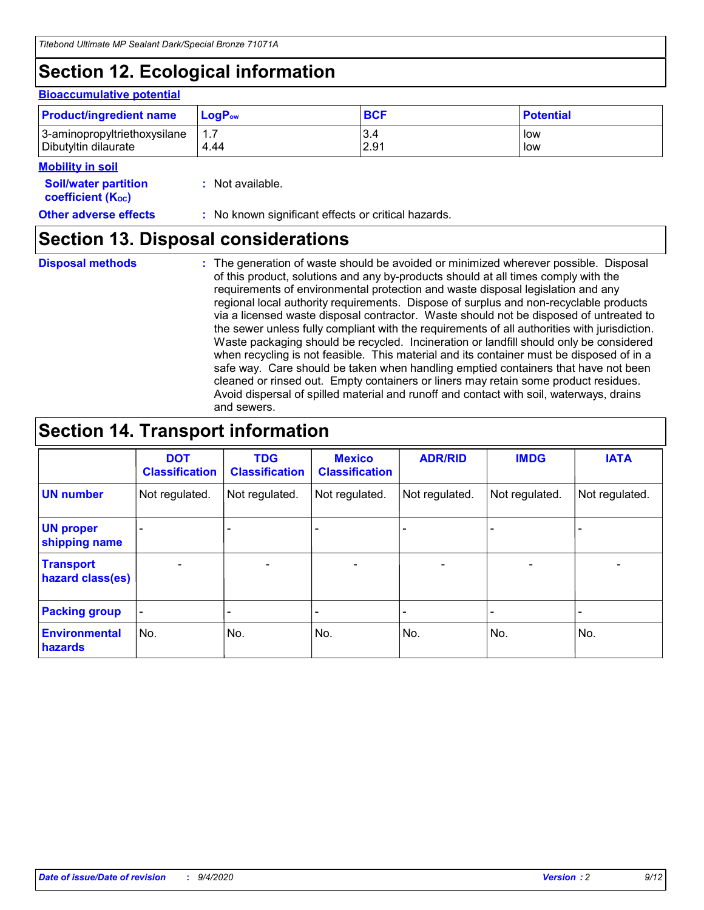## **Section 12. Ecological information**

#### **Bioaccumulative potential**

| <b>Product/ingredient name</b> | $LoaPow$ | <b>BCF</b> | <b>Potential</b> |
|--------------------------------|----------|------------|------------------|
| 3-aminopropyltriethoxysilane   | 1.7      | 3.4        | low              |
| Dibutyltin dilaurate           | 4.44     | 2.91       | low              |

#### **Mobility in soil**

| <b>Soil/water partition</b>    | : Not available. |
|--------------------------------|------------------|
| coefficient (K <sub>oc</sub> ) |                  |

**Other adverse effects** : No known significant effects or critical hazards.

### **Section 13. Disposal considerations**

**Disposal methods :**

The generation of waste should be avoided or minimized wherever possible. Disposal of this product, solutions and any by-products should at all times comply with the requirements of environmental protection and waste disposal legislation and any regional local authority requirements. Dispose of surplus and non-recyclable products via a licensed waste disposal contractor. Waste should not be disposed of untreated to the sewer unless fully compliant with the requirements of all authorities with jurisdiction. Waste packaging should be recycled. Incineration or landfill should only be considered when recycling is not feasible. This material and its container must be disposed of in a safe way. Care should be taken when handling emptied containers that have not been cleaned or rinsed out. Empty containers or liners may retain some product residues. Avoid dispersal of spilled material and runoff and contact with soil, waterways, drains and sewers.

### **Section 14. Transport information**

|                                      | <b>DOT</b><br><b>Classification</b> | <b>TDG</b><br><b>Classification</b> | <b>Mexico</b><br><b>Classification</b> | <b>ADR/RID</b>               | <b>IMDG</b>              | <b>IATA</b>    |
|--------------------------------------|-------------------------------------|-------------------------------------|----------------------------------------|------------------------------|--------------------------|----------------|
| <b>UN number</b>                     | Not regulated.                      | Not regulated.                      | Not regulated.                         | Not regulated.               | Not regulated.           | Not regulated. |
| <b>UN proper</b><br>shipping name    |                                     |                                     |                                        |                              |                          |                |
| <b>Transport</b><br>hazard class(es) | $\overline{\phantom{0}}$            | $\overline{\phantom{0}}$            | $\qquad \qquad$                        | $\qquad \qquad \blacksquare$ | $\overline{\phantom{0}}$ |                |
| <b>Packing group</b>                 | -                                   |                                     |                                        |                              |                          |                |
| <b>Environmental</b><br>hazards      | No.                                 | No.                                 | No.                                    | No.                          | No.                      | No.            |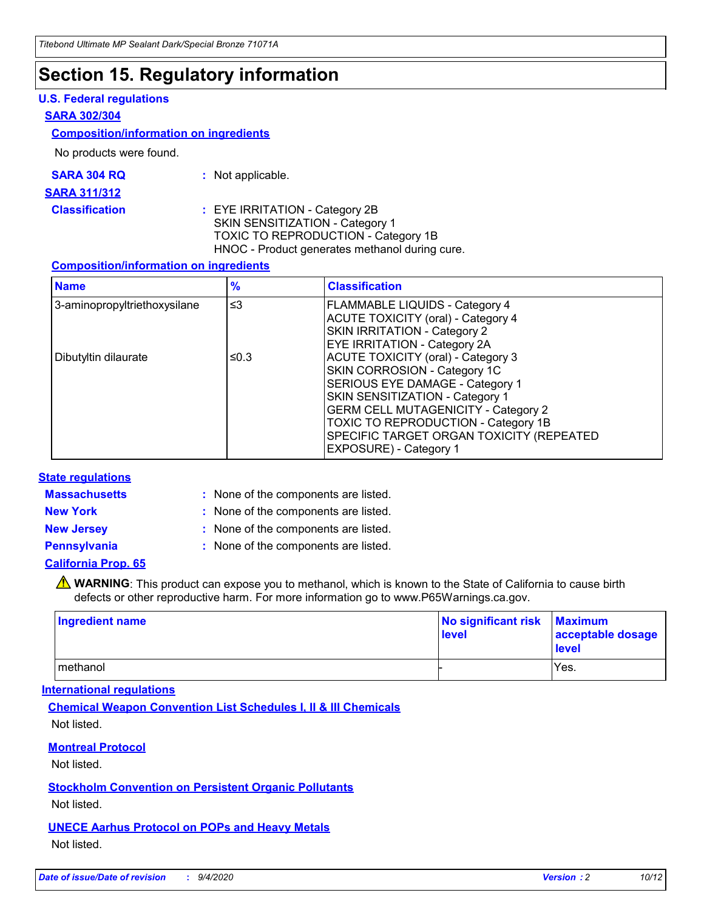### **Section 15. Regulatory information**

#### **U.S. Federal regulations**

#### **SARA 302/304**

#### **Composition/information on ingredients**

No products were found.

| SARA 304 RQ | Not applicable. |
|-------------|-----------------|
|-------------|-----------------|

#### **SARA 311/312**

**Classification :** EYE IRRITATION - Category 2B SKIN SENSITIZATION - Category 1 TOXIC TO REPRODUCTION - Category 1B HNOC - Product generates methanol during cure.

#### **Composition/information on ingredients**

| <b>Name</b>                  | $\frac{9}{6}$ | <b>Classification</b>                                                                                                                                                                                                                                                                                      |
|------------------------------|---------------|------------------------------------------------------------------------------------------------------------------------------------------------------------------------------------------------------------------------------------------------------------------------------------------------------------|
| 3-aminopropyltriethoxysilane | $\leq$ 3      | <b>FLAMMABLE LIQUIDS - Category 4</b><br><b>ACUTE TOXICITY (oral) - Category 4</b><br><b>SKIN IRRITATION - Category 2</b><br>EYE IRRITATION - Category 2A                                                                                                                                                  |
| Dibutyltin dilaurate         | ≤0.3          | <b>ACUTE TOXICITY (oral) - Category 3</b><br>SKIN CORROSION - Category 1C<br>SERIOUS EYE DAMAGE - Category 1<br>SKIN SENSITIZATION - Category 1<br><b>GERM CELL MUTAGENICITY - Category 2</b><br>TOXIC TO REPRODUCTION - Category 1B<br>SPECIFIC TARGET ORGAN TOXICITY (REPEATED<br>EXPOSURE) - Category 1 |

#### **State regulations**

**Massachusetts :**

: None of the components are listed.

**New York :** None of the components are listed. **New Jersey :** None of the components are listed.

**Pennsylvania :** None of the components are listed.

#### **California Prop. 65**

WARNING: This product can expose you to methanol, which is known to the State of California to cause birth defects or other reproductive harm. For more information go to www.P65Warnings.ca.gov.

| Ingredient name | No significant risk<br>level | <b>Maximum</b><br>acceptable dosage<br><b>level</b> |
|-----------------|------------------------------|-----------------------------------------------------|
| l methanol      |                              | Yes.                                                |

#### **International regulations**

**Chemical Weapon Convention List Schedules I, II & III Chemicals** Not listed.

#### **Montreal Protocol**

Not listed.

**Stockholm Convention on Persistent Organic Pollutants**

Not listed.

#### **UNECE Aarhus Protocol on POPs and Heavy Metals** Not listed.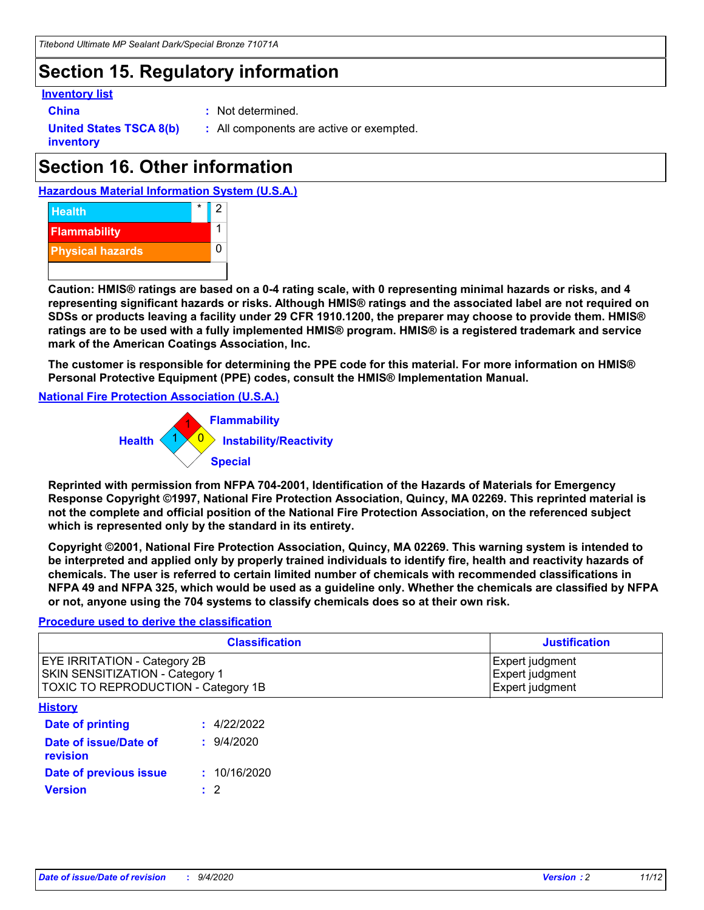### **Section 15. Regulatory information**

#### **Inventory list**

- 
- **China :** Not determined.

**United States TSCA 8(b) inventory**

**:** All components are active or exempted.

## **Section 16. Other information**

**Hazardous Material Information System (U.S.A.)**



**Caution: HMIS® ratings are based on a 0-4 rating scale, with 0 representing minimal hazards or risks, and 4 representing significant hazards or risks. Although HMIS® ratings and the associated label are not required on SDSs or products leaving a facility under 29 CFR 1910.1200, the preparer may choose to provide them. HMIS® ratings are to be used with a fully implemented HMIS® program. HMIS® is a registered trademark and service mark of the American Coatings Association, Inc.**

**The customer is responsible for determining the PPE code for this material. For more information on HMIS® Personal Protective Equipment (PPE) codes, consult the HMIS® Implementation Manual.**

**National Fire Protection Association (U.S.A.)**



**Reprinted with permission from NFPA 704-2001, Identification of the Hazards of Materials for Emergency Response Copyright ©1997, National Fire Protection Association, Quincy, MA 02269. This reprinted material is not the complete and official position of the National Fire Protection Association, on the referenced subject which is represented only by the standard in its entirety.**

**Copyright ©2001, National Fire Protection Association, Quincy, MA 02269. This warning system is intended to be interpreted and applied only by properly trained individuals to identify fire, health and reactivity hazards of chemicals. The user is referred to certain limited number of chemicals with recommended classifications in NFPA 49 and NFPA 325, which would be used as a guideline only. Whether the chemicals are classified by NFPA or not, anyone using the 704 systems to classify chemicals does so at their own risk.**

#### **Procedure used to derive the classification**

| <b>Classification</b>                                                                                                | <b>Justification</b>                                  |
|----------------------------------------------------------------------------------------------------------------------|-------------------------------------------------------|
| <b>EYE IRRITATION - Category 2B</b><br><b>SKIN SENSITIZATION - Category 1</b><br>TOXIC TO REPRODUCTION - Category 1B | Expert judgment<br>Expert judgment<br>Expert judgment |
| <b>History</b>                                                                                                       |                                                       |

| <u>ношт</u>                       |              |
|-----------------------------------|--------------|
| Date of printing                  | : 4/22/2022  |
| Date of issue/Date of<br>revision | 9/4/2020     |
| Date of previous issue            | : 10/16/2020 |
| <b>Version</b>                    | $\cdot$ 2    |
|                                   |              |